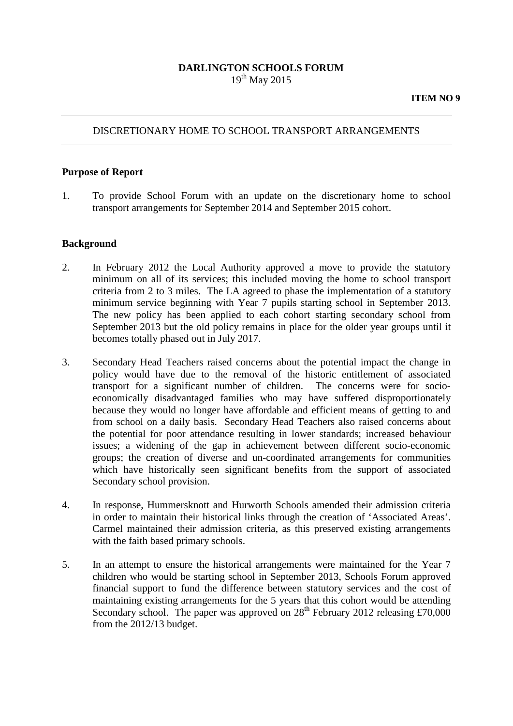### **DARLINGTON SCHOOLS FORUM**  $19<sup>th</sup>$  May 2015

### DISCRETIONARY HOME TO SCHOOL TRANSPORT ARRANGEMENTS

#### **Purpose of Report**

1. To provide School Forum with an update on the discretionary home to school transport arrangements for September 2014 and September 2015 cohort.

#### **Background**

- 2. In February 2012 the Local Authority approved a move to provide the statutory minimum on all of its services; this included moving the home to school transport criteria from 2 to 3 miles. The LA agreed to phase the implementation of a statutory minimum service beginning with Year 7 pupils starting school in September 2013. The new policy has been applied to each cohort starting secondary school from September 2013 but the old policy remains in place for the older year groups until it becomes totally phased out in July 2017.
- 3. Secondary Head Teachers raised concerns about the potential impact the change in policy would have due to the removal of the historic entitlement of associated transport for a significant number of children. The concerns were for socioeconomically disadvantaged families who may have suffered disproportionately because they would no longer have affordable and efficient means of getting to and from school on a daily basis. Secondary Head Teachers also raised concerns about the potential for poor attendance resulting in lower standards; increased behaviour issues; a widening of the gap in achievement between different socio-economic groups; the creation of diverse and un-coordinated arrangements for communities which have historically seen significant benefits from the support of associated Secondary school provision.
- 4. In response, Hummersknott and Hurworth Schools amended their admission criteria in order to maintain their historical links through the creation of 'Associated Areas'. Carmel maintained their admission criteria, as this preserved existing arrangements with the faith based primary schools.
- 5. In an attempt to ensure the historical arrangements were maintained for the Year 7 children who would be starting school in September 2013, Schools Forum approved financial support to fund the difference between statutory services and the cost of maintaining existing arrangements for the 5 years that this cohort would be attending Secondary school. The paper was approved on  $28<sup>th</sup>$  February 2012 releasing £70,000 from the 2012/13 budget.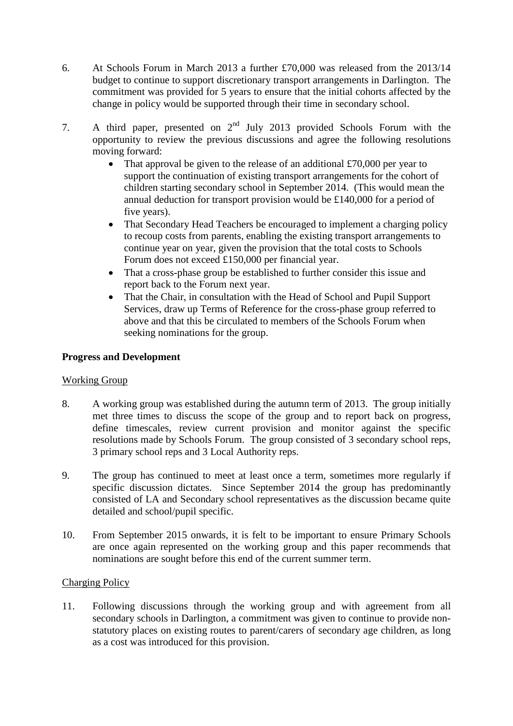- 6. At Schools Forum in March 2013 a further £70,000 was released from the 2013/14 budget to continue to support discretionary transport arrangements in Darlington. The commitment was provided for 5 years to ensure that the initial cohorts affected by the change in policy would be supported through their time in secondary school.
- 7. A third paper, presented on  $2<sup>nd</sup>$  July 2013 provided Schools Forum with the opportunity to review the previous discussions and agree the following resolutions moving forward:
	- That approval be given to the release of an additional  $\text{\pounds}70,000$  per year to support the continuation of existing transport arrangements for the cohort of children starting secondary school in September 2014. (This would mean the annual deduction for transport provision would be £140,000 for a period of five years).
	- That Secondary Head Teachers be encouraged to implement a charging policy to recoup costs from parents, enabling the existing transport arrangements to continue year on year, given the provision that the total costs to Schools Forum does not exceed £150,000 per financial year.
	- That a cross-phase group be established to further consider this issue and report back to the Forum next year.
	- That the Chair, in consultation with the Head of School and Pupil Support Services, draw up Terms of Reference for the cross-phase group referred to above and that this be circulated to members of the Schools Forum when seeking nominations for the group.

# **Progress and Development**

# Working Group

- 8. A working group was established during the autumn term of 2013. The group initially met three times to discuss the scope of the group and to report back on progress, define timescales, review current provision and monitor against the specific resolutions made by Schools Forum. The group consisted of 3 secondary school reps, 3 primary school reps and 3 Local Authority reps.
- 9. The group has continued to meet at least once a term, sometimes more regularly if specific discussion dictates. Since September 2014 the group has predominantly consisted of LA and Secondary school representatives as the discussion became quite detailed and school/pupil specific.
- 10. From September 2015 onwards, it is felt to be important to ensure Primary Schools are once again represented on the working group and this paper recommends that nominations are sought before this end of the current summer term.

# Charging Policy

11. Following discussions through the working group and with agreement from all secondary schools in Darlington, a commitment was given to continue to provide nonstatutory places on existing routes to parent/carers of secondary age children, as long as a cost was introduced for this provision.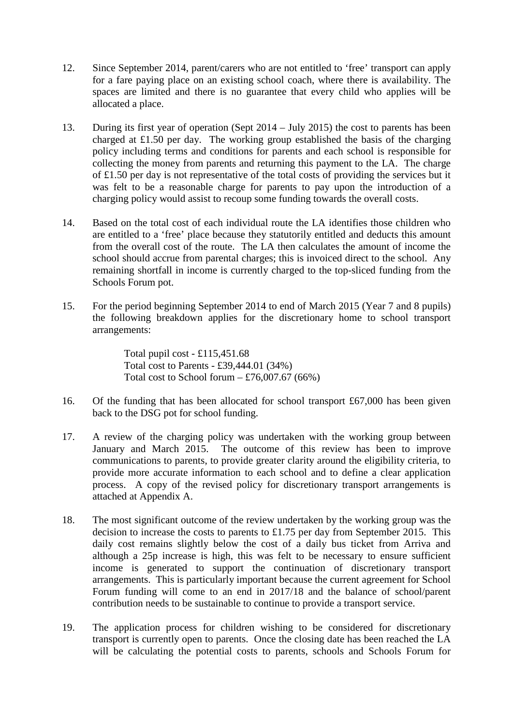- 12. Since September 2014, parent/carers who are not entitled to 'free' transport can apply for a fare paying place on an existing school coach, where there is availability. The spaces are limited and there is no guarantee that every child who applies will be allocated a place.
- 13. During its first year of operation (Sept 2014 July 2015) the cost to parents has been charged at £1.50 per day. The working group established the basis of the charging policy including terms and conditions for parents and each school is responsible for collecting the money from parents and returning this payment to the LA. The charge of £1.50 per day is not representative of the total costs of providing the services but it was felt to be a reasonable charge for parents to pay upon the introduction of a charging policy would assist to recoup some funding towards the overall costs.
- 14. Based on the total cost of each individual route the LA identifies those children who are entitled to a 'free' place because they statutorily entitled and deducts this amount from the overall cost of the route. The LA then calculates the amount of income the school should accrue from parental charges; this is invoiced direct to the school. Any remaining shortfall in income is currently charged to the top-sliced funding from the Schools Forum pot.
- 15. For the period beginning September 2014 to end of March 2015 (Year 7 and 8 pupils) the following breakdown applies for the discretionary home to school transport arrangements:

Total pupil cost - £115,451.68 Total cost to Parents - £39,444.01 (34%) Total cost to School forum  $-$  £76,007.67 (66%)

- 16. Of the funding that has been allocated for school transport £67,000 has been given back to the DSG pot for school funding.
- 17. A review of the charging policy was undertaken with the working group between January and March 2015. The outcome of this review has been to improve communications to parents, to provide greater clarity around the eligibility criteria, to provide more accurate information to each school and to define a clear application process. A copy of the revised policy for discretionary transport arrangements is attached at Appendix A.
- 18. The most significant outcome of the review undertaken by the working group was the decision to increase the costs to parents to £1.75 per day from September 2015. This daily cost remains slightly below the cost of a daily bus ticket from Arriva and although a 25p increase is high, this was felt to be necessary to ensure sufficient income is generated to support the continuation of discretionary transport arrangements. This is particularly important because the current agreement for School Forum funding will come to an end in 2017/18 and the balance of school/parent contribution needs to be sustainable to continue to provide a transport service.
- 19. The application process for children wishing to be considered for discretionary transport is currently open to parents. Once the closing date has been reached the LA will be calculating the potential costs to parents, schools and Schools Forum for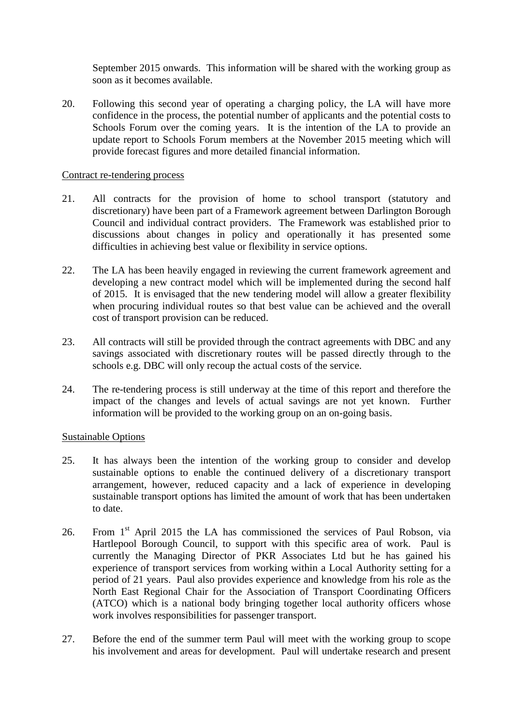September 2015 onwards. This information will be shared with the working group as soon as it becomes available.

20. Following this second year of operating a charging policy, the LA will have more confidence in the process, the potential number of applicants and the potential costs to Schools Forum over the coming years. It is the intention of the LA to provide an update report to Schools Forum members at the November 2015 meeting which will provide forecast figures and more detailed financial information.

#### Contract re-tendering process

- 21. All contracts for the provision of home to school transport (statutory and discretionary) have been part of a Framework agreement between Darlington Borough Council and individual contract providers. The Framework was established prior to discussions about changes in policy and operationally it has presented some difficulties in achieving best value or flexibility in service options.
- 22. The LA has been heavily engaged in reviewing the current framework agreement and developing a new contract model which will be implemented during the second half of 2015. It is envisaged that the new tendering model will allow a greater flexibility when procuring individual routes so that best value can be achieved and the overall cost of transport provision can be reduced.
- 23. All contracts will still be provided through the contract agreements with DBC and any savings associated with discretionary routes will be passed directly through to the schools e.g. DBC will only recoup the actual costs of the service.
- 24. The re-tendering process is still underway at the time of this report and therefore the impact of the changes and levels of actual savings are not yet known. Further information will be provided to the working group on an on-going basis.

### Sustainable Options

- 25. It has always been the intention of the working group to consider and develop sustainable options to enable the continued delivery of a discretionary transport arrangement, however, reduced capacity and a lack of experience in developing sustainable transport options has limited the amount of work that has been undertaken to date.
- 26. From 1<sup>st</sup> April 2015 the LA has commissioned the services of Paul Robson, via Hartlepool Borough Council, to support with this specific area of work. Paul is currently the Managing Director of PKR Associates Ltd but he has gained his experience of transport services from working within a Local Authority setting for a period of 21 years. Paul also provides experience and knowledge from his role as the North East Regional Chair for the Association of Transport Coordinating Officers (ATCO) which is a national body bringing together local authority officers whose work involves responsibilities for passenger transport.
- 27. Before the end of the summer term Paul will meet with the working group to scope his involvement and areas for development. Paul will undertake research and present